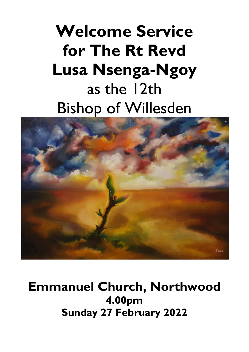# **Welcome Service for The Rt Revd Lusa Nsenga-Ngoy** as the 12th Bishop of Willesden



#### **Emmanuel Church, Northwood 4.00pm Sunday 27 February 2022**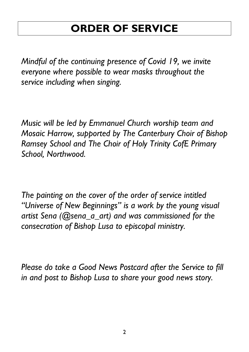### **ORDER OF SERVICE**

*Mindful of the continuing presence of Covid 19, we invite everyone where possible to wear masks throughout the service including when singing.*

*Music will be led by Emmanuel Church worship team and Mosaic Harrow, supported by The Canterbury Choir of Bishop Ramsey School and The Choir of Holy Trinity CofE Primary School, Northwood.*

*The painting on the cover of the order of service intitled "Universe of New Beginnings" is a work by the young visual artist Sena (@sena\_a\_art) and was commissioned for the consecration of Bishop Lusa to episcopal ministry.*

*Please do take a Good News Postcard after the Service to fill in and post to Bishop Lusa to share your good news story.*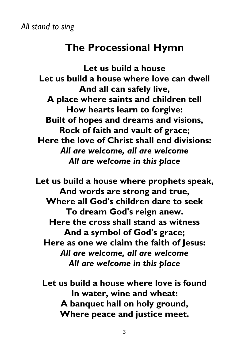#### **The Processional Hymn**

**Let us build a house Let us build a house where love can dwell And all can safely live, A place where saints and children tell How hearts learn to forgive: Built of hopes and dreams and visions, Rock of faith and vault of grace; Here the love of Christ shall end divisions:** *All are welcome, all are welcome All are welcome in this place*

**Let us build a house where prophets speak, And words are strong and true, Where all God's children dare to seek To dream God's reign anew. Here the cross shall stand as witness And a symbol of God's grace; Here as one we claim the faith of Jesus:** *All are welcome, all are welcome All are welcome in this place*

**Let us build a house where love is found In water, wine and wheat: A banquet hall on holy ground, Where peace and justice meet.**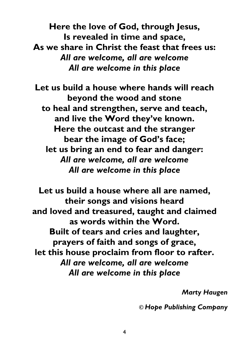**Here the love of God, through Jesus, Is revealed in time and space, As we share in Christ the feast that frees us:** *All are welcome, all are welcome All are welcome in this place*

**Let us build a house where hands will reach beyond the wood and stone to heal and strengthen, serve and teach, and live the Word they've known. Here the outcast and the stranger bear the image of God's face; let us bring an end to fear and danger:** *All are welcome, all are welcome All are welcome in this place*

**Let us build a house where all are named, their songs and visions heard and loved and treasured, taught and claimed as words within the Word. Built of tears and cries and laughter, prayers of faith and songs of grace, let this house proclaim from floor to rafter.** *All are welcome, all are welcome All are welcome in this place*

*Marty Haugen*

*Hope Publishing Company*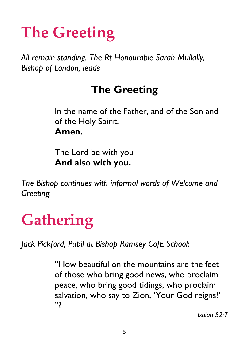# **The Greeting**

*All remain standing. The Rt Honourable Sarah Mullally, Bishop of London, leads*

#### **The Greeting**

In the name of the Father, and of the Son and of the Holy Spirit. **Amen.**

The Lord be with you **And also with you.**

*The Bishop continues with informal words of Welcome and Greeting.*

# **Gathering**

*Jack Pickford, Pupil at Bishop Ramsey CofE School*:

"How beautiful on the mountains are the feet of those who bring good news, who proclaim peace, who bring good tidings, who proclaim salvation, who say to Zion, 'Your God reigns!' "?

*Isaiah 52:7*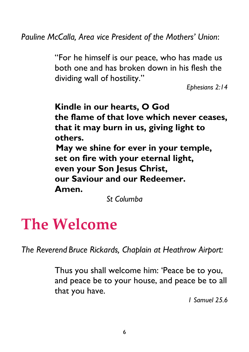*Pauline McCalla, Area vice President of the Mothers' Union*:

"For he himself is our peace, who has made us both one and has broken down in his flesh the dividing wall of hostility."

*Ephesians 2:14*

**Kindle in our hearts, O God the flame of that love which never ceases, that it may burn in us, giving light to others. May we shine for ever in your temple, set on fire with your eternal light, even your Son Jesus Christ, our Saviour and our Redeemer. Amen.**

*St Columba*

### **The Welcome**

*The Reverend Bruce Rickards, Chaplain at Heathrow Airport:*

Thus you shall welcome him: 'Peace be to you, and peace be to your house, and peace be to all that you have.

*1 Samuel 25.6*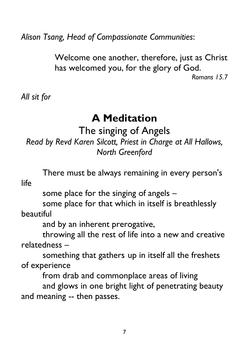*Alison Tsang, Head of Compassionate Communities*:

Welcome one another, therefore, just as Christ has welcomed you, for the glory of God.

*Romans 15.7*

*All sit for*

#### **A Meditation**

The singing of Angels

*Read by Revd Karen Silcott, Priest in Charge at All Hallows, North Greenford*

There must be always remaining in every person's life

some place for the singing of angels –

some place for that which in itself is breathlessly beautiful

and by an inherent prerogative,

throwing all the rest of life into a new and creative relatedness –

something that gathers up in itself all the freshets of experience

from drab and commonplace areas of living

and glows in one bright light of penetrating beauty and meaning -- then passes.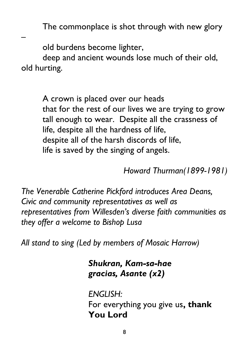The commonplace is shot through with new glory

old burdens become lighter,

–

deep and ancient wounds lose much of their old, old hurting.

> A crown is placed over our heads that for the rest of our lives we are trying to grow tall enough to wear. Despite all the crassness of life, despite all the hardness of life, despite all of the harsh discords of life, life is saved by the singing of angels.

> > *Howard Thurman(1899-1981)*

*The Venerable Catherine Pickford introduces Area Deans, Civic and community representatives as well as representatives from Willesden's diverse faith communities as they offer a welcome to Bishop Lusa* 

*All stand to sing (Led by members of Mosaic Harrow)*

*Shukran, Kam-sa-hae gracias, Asante (x2)*

*ENGLISH:*  For everything you give us**, thank You Lord**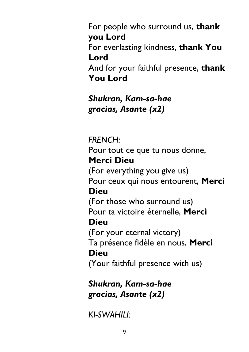For people who surround us, **thank you Lord** For everlasting kindness, **thank You Lord** And for your faithful presence, **thank You Lord**

*Shukran, Kam-sa-hae gracias, Asante (x2)*

*FRENCH:* Pour tout ce que tu nous donne, **Merci Dieu** (For everything you give us) Pour ceux qui nous entourent, **Merci Dieu** (For those who surround us) Pour ta victoire éternelle, **Merci Dieu** (For your eternal victory) Ta présence fidèle en nous, **Merci** 

#### **Dieu**

(Your faithful presence with us)

*Shukran, Kam-sa-hae gracias, Asante (x2)*

*KI-SWAHILI:*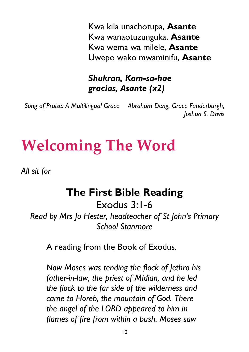Kwa kila unachotupa, **Asante** Kwa wanaotuzunguka, **Asante**  Kwa wema wa milele, **Asante** Uwepo wako mwaminifu, **Asante**

*Shukran, Kam-sa-hae gracias, Asante (x2)*

*Song of Praise: A Multilingual Grace Abraham Deng, Grace Funderburgh, Joshua S. Davis*

### **Welcoming The Word**

*All sit for*

#### **The First Bible Reading**

Exodus 3:1-6 *Read by Mrs Jo Hester, headteacher of St John's Primary School Stanmore*

A reading from the Book of Exodus.

*Now Moses was tending the flock of Jethro his father-in-law, the priest of Midian, and he led the flock to the far side of the wilderness and came to Horeb, the mountain of God. There the angel of the LORD appeared to him in flames of fire from within a bush. Moses saw*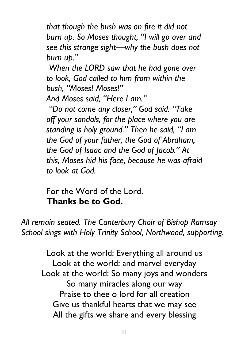*that though the bush was on fire it did not burn up. So Moses thought, "I will go over and see this strange sight—why the bush does not burn up."*

*When the LORD saw that he had gone over to look, God called to him from within the bush, "Moses! Moses!"*

*And Moses said, "Here I am."*

*"Do not come any closer," God said. "Take off your sandals, for the place where you are standing is holy ground." Then he said, "I am the God of your father, the God of Abraham, the God of Isaac and the God of Jacob." At this, Moses hid his face, because he was afraid to look at God.*

For the Word of the Lord. **Thanks be to God.**

*All remain seated. The Canterbury Choir of Bishop Ramsay School sings with Holy Trinity School, Northwood, supporting.*

> Look at the world: Everything all around us Look at the world: and marvel everyday Look at the world: So many joys and wonders So many miracles along our way Praise to thee o lord for all creation Give us thankful hearts that we may see All the gifts we share and every blessing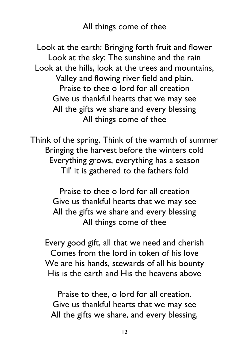All things come of thee

Look at the earth: Bringing forth fruit and flower Look at the sky: The sunshine and the rain Look at the hills, look at the trees and mountains, Valley and flowing river field and plain. Praise to thee o lord for all creation Give us thankful hearts that we may see All the gifts we share and every blessing All things come of thee

Think of the spring, Think of the warmth of summer Bringing the harvest before the winters cold Everything grows, everything has a season Til' it is gathered to the fathers fold

> Praise to thee o lord for all creation Give us thankful hearts that we may see All the gifts we share and every blessing All things come of thee

Every good gift, all that we need and cherish Comes from the lord in token of his love We are his hands, stewards of all his bounty His is the earth and His the heavens above

Praise to thee, o lord for all creation. Give us thankful hearts that we may see All the gifts we share, and every blessing,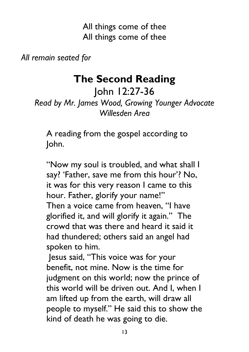All things come of thee All things come of thee

*All remain seated for*

#### **The Second Reading**

John 12:27-36

*Read by Mr. James Wood, Growing Younger Advocate Willesden Area*

A reading from the gospel according to John.

"Now my soul is troubled, and what shall I say? 'Father, save me from this hour'? No, it was for this very reason I came to this hour. Father, glorify your name!" Then a voice came from heaven, "I have

glorified it, and will glorify it again." The crowd that was there and heard it said it had thundered; others said an angel had spoken to him.

Jesus said, "This voice was for your benefit, not mine. Now is the time for judgment on this world; now the prince of this world will be driven out. And I, when I am lifted up from the earth, will draw all people to myself." He said this to show the kind of death he was going to die.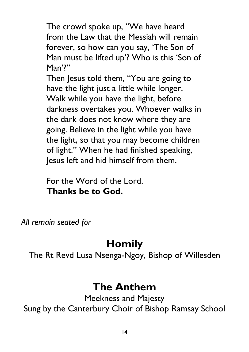The crowd spoke up, "We have heard from the Law that the Messiah will remain forever, so how can you say, 'The Son of Man must be lifted up'? Who is this 'Son of Man'?"

Then Jesus told them, "You are going to have the light just a little while longer. Walk while you have the light, before darkness overtakes you. Whoever walks in the dark does not know where they are going. Believe in the light while you have the light, so that you may become children of light." When he had finished speaking, Jesus left and hid himself from them.

For the Word of the Lord. **Thanks be to God.**

*All remain seated for*

#### **Homily**

The Rt Revd Lusa Nsenga-Ngoy, Bishop of Willesden

#### **The Anthem**

Meekness and Majesty Sung by the Canterbury Choir of Bishop Ramsay School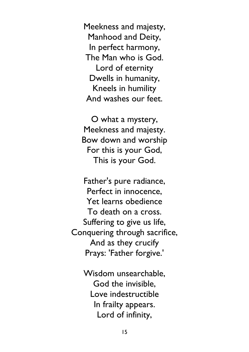Meekness and majesty, Manhood and Deity, In perfect harmony, The Man who is God. Lord of eternity Dwells in humanity, Kneels in humility And washes our feet.

O what a mystery, Meekness and majesty. Bow down and worship For this is your God, This is your God.

Father's pure radiance, Perfect in innocence, Yet learns obedience To death on a cross. Suffering to give us life, Conquering through sacrifice, And as they crucify Prays: 'Father forgive.'

> Wisdom unsearchable, God the invisible, Love indestructible In frailty appears. Lord of infinity,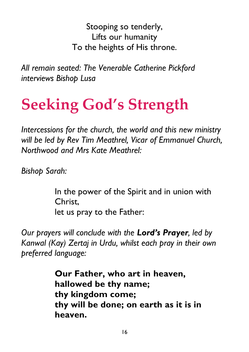Stooping so tenderly, Lifts our humanity To the heights of His throne.

*All remain seated: The Venerable Catherine Pickford interviews Bishop Lusa*

## **Seeking God's Strength**

*Intercessions for the church, the world and this new ministry will be led by Rev Tim Meathrel, Vicar of Emmanuel Church, Northwood and Mrs Kate Meathrel:* 

*Bishop Sarah:*

In the power of the Spirit and in union with Christ, let us pray to the Father:

*Our prayers will conclude with the Lord's Prayer, led by Kanwal (Kay) Zertaj in Urdu, whilst each pray in their own preferred language:*

> **Our Father, who art in heaven, hallowed be thy name; thy kingdom come; thy will be done; on earth as it is in heaven.**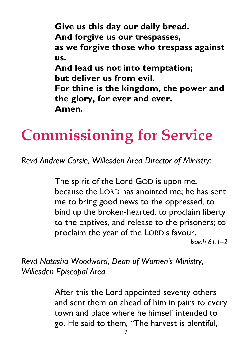**Give us this day our daily bread. And forgive us our trespasses, as we forgive those who trespass against us. And lead us not into temptation; but deliver us from evil. For thine is the kingdom, the power and the glory, for ever and ever. Amen.**

### **Commissioning for Service**

*Revd Andrew Corsie, Willesden Area Director of Ministry:*

The spirit of the Lord GOD is upon me, because the LORD has anointed me; he has sent me to bring good news to the oppressed, to bind up the broken-hearted, to proclaim liberty to the captives, and release to the prisoners; to proclaim the year of the LORD's favour.

*Isaiah 61.1–2*

*Revd Natasha Woodward, Dean of Women's Ministry, Willesden Episcopal Area*

> After this the Lord appointed seventy others and sent them on ahead of him in pairs to every town and place where he himself intended to go. He said to them, "The harvest is plentiful,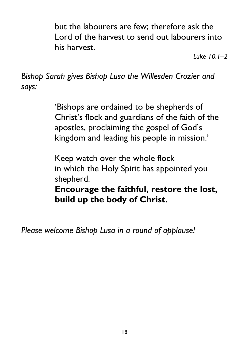but the labourers are few; therefore ask the Lord of the harvest to send out labourers into his harvest.

*Luke 10.1–2*

*Bishop Sarah gives Bishop Lusa the Willesden Crozier and says:*

> 'Bishops are ordained to be shepherds of Christ's flock and guardians of the faith of the apostles, proclaiming the gospel of God's kingdom and leading his people in mission.'

Keep watch over the whole flock in which the Holy Spirit has appointed you shepherd.

**Encourage the faithful, restore the lost, build up the body of Christ.**

*Please welcome Bishop Lusa in a round of applause!*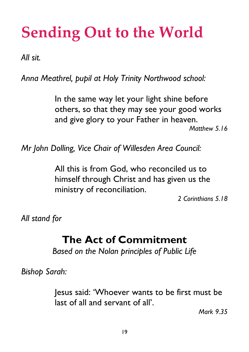### **Sending Out to the World**

*All sit.* 

*Anna Meathrel, pupil at Holy Trinity Northwood school:*

In the same way let your light shine before others, so that they may see your good works and give glory to your Father in heaven. *Matthew 5.16*

*Mr John Dolling, Vice Chair of Willesden Area Council:*

All this is from God, who reconciled us to himself through Christ and has given us the ministry of reconciliation.

*2 Corinthians 5.18*

*All stand for* 

#### **The Act of Commitment**

*Based on the Nolan principles of Public Life*

*Bishop Sarah:*

Jesus said: 'Whoever wants to be first must be last of all and servant of all'.

*Mark 9.35*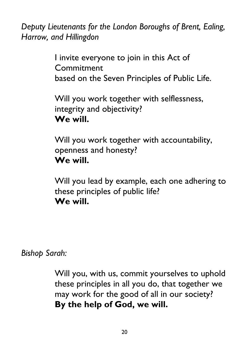*Deputy Lieutenants for the London Boroughs of Brent, Ealing, Harrow, and Hillingdon*

> I invite everyone to join in this Act of Commitment based on the Seven Principles of Public Life.

Will you work together with selflessness, integrity and objectivity? **We will.**

Will you work together with accountability, openness and honesty? **We will.**

Will you lead by example, each one adhering to these principles of public life? **We will.**

*Bishop Sarah:*

Will you, with us, commit yourselves to uphold these principles in all you do, that together we may work for the good of all in our society? **By the help of God, we will.**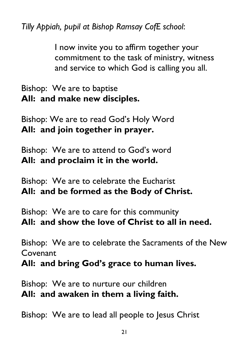*Tilly Appiah, pupil at Bishop Ramsay CofE school*:

I now invite you to affirm together your commitment to the task of ministry, witness and service to which God is calling you all.

Bishop: We are to baptise **All: and make new disciples.**

Bishop: We are to read God's Holy Word **All: and join together in prayer.**

Bishop: We are to attend to God's word **All: and proclaim it in the world.**

Bishop: We are to celebrate the Eucharist **All: and be formed as the Body of Christ.**

Bishop: We are to care for this community **All: and show the love of Christ to all in need.**

Bishop: We are to celebrate the Sacraments of the New Covenant

**All: and bring God's grace to human lives.**

Bishop: We are to nurture our children **All: and awaken in them a living faith.**

Bishop: We are to lead all people to Jesus Christ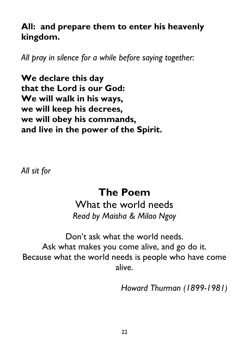#### **All: and prepare them to enter his heavenly kingdom.**

*All pray in silence for a while before saying together:*

**We declare this day that the Lord is our God: We will walk in his ways, we will keep his decrees, we will obey his commands, and live in the power of the Spirit.** 

*All sit for*

#### **The Poem**

What the world needs *Read by Maisha & Milao Ngoy*

Don't ask what the world needs. Ask what makes you come alive, and go do it. Because what the world needs is people who have come alive.

*Howard Thurman (1899-1981)*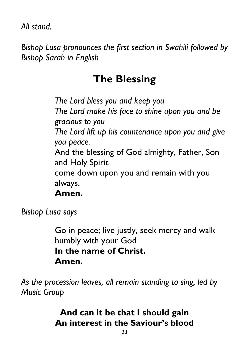*All stand.* 

*Bishop Lusa pronounces the first section in Swahili followed by Bishop Sarah in English*

#### **The Blessing**

*The Lord bless you and keep you The Lord make his face to shine upon you and be gracious to you The Lord lift up his countenance upon you and give you peace.* And the blessing of God almighty, Father, Son and Holy Spirit come down upon you and remain with you always. **Amen.**

*Bishop Lusa says*

Go in peace; live justly, seek mercy and walk humbly with your God **In the name of Christ. Amen.**

*As the procession leaves, all remain standing to sing, led by Music Group*

#### **And can it be that I should gain An interest in the Saviour's blood**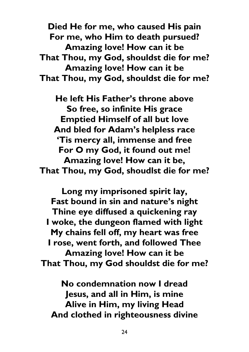**Died He for me, who caused His pain For me, who Him to death pursued? Amazing love! How can it be That Thou, my God, shouldst die for me? Amazing love! How can it be That Thou, my God, shouldst die for me?**

**He left His Father's throne above So free, so infinite His grace Emptied Himself of all but love And bled for Adam's helpless race 'Tis mercy all, immense and free For O my God, it found out me! Amazing love! How can it be, That Thou, my God, shoudlst die for me?**

**Long my imprisoned spirit lay, Fast bound in sin and nature's night Thine eye diffused a quickening ray I woke, the dungeon flamed with light My chains fell off, my heart was free I rose, went forth, and followed Thee Amazing love! How can it be That Thou, my God shouldst die for me?**

**No condemnation now I dread Jesus, and all in Him, is mine Alive in Him, my living Head And clothed in righteousness divine**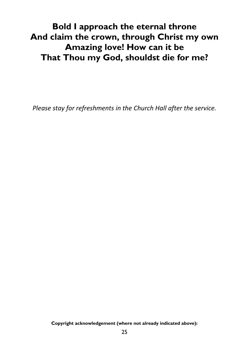**Bold I approach the eternal throne And claim the crown, through Christ my own Amazing love! How can it be That Thou my God, shouldst die for me?**

*Please stay for refreshments in the Church Hall after the service.*

**Copyright acknowledgement (where not already indicated above):**